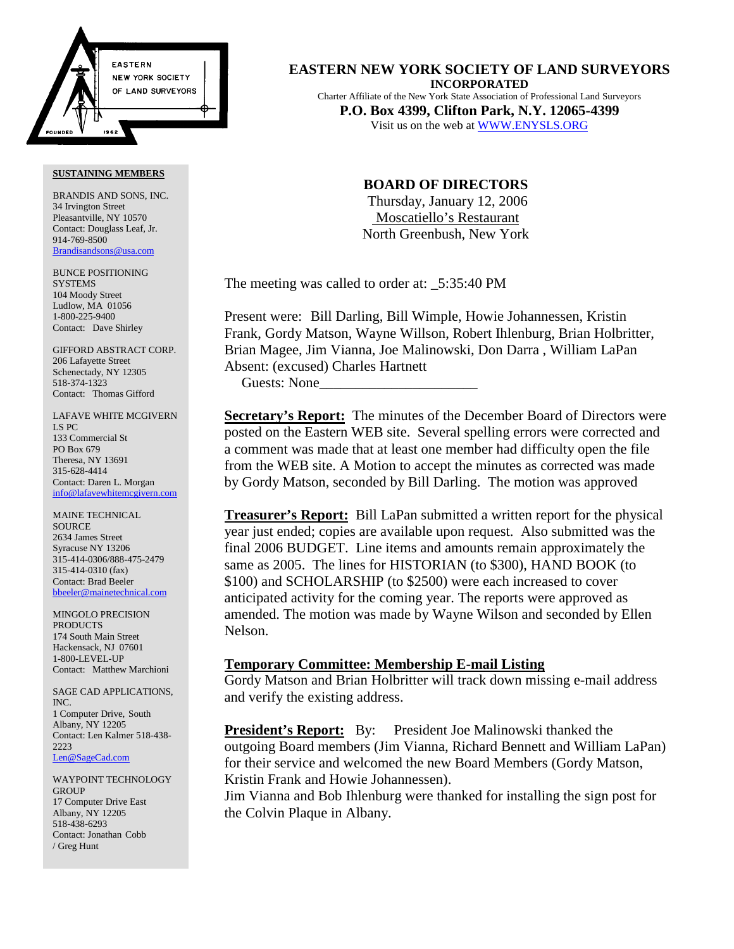

BRANDIS AND SONS, INC. 34 Irvington Street Pleasantville, NY 10570 Contact: Douglass Leaf, Jr. 914-769-8500 Brandisandsons@usa.com

BUNCE POSITIONING **SYSTEMS** 104 Moody Street Ludlow, MA 01056 1-800-225-9400 Contact: Dave Shirley

GIFFORD ABSTRACT CORP. 206 Lafayette Street Schenectady, NY 12305 518-374-1323 Contact: Thomas Gifford

LAFAVE WHITE MCGIVERN LS PC 133 Commercial St PO Box 679 Theresa, NY 13691 315-628-4414 Contact: Daren L. Morgan info@lafavewhitemcgivern.com

MAINE TECHNICAL **SOURCE** 2634 James Street Syracuse NY 13206 315-414-0306/888-475-2479 315-414-0310 (fax) Contact: Brad Beeler bbeeler@mainetechnical.com

MINGOLO PRECISION PRODUCTS 174 South Main Street Hackensack, NJ 07601 1-800-LEVEL-UP Contact: Matthew Marchioni

SAGE CAD APPLICATIONS, INC. 1 Computer Drive, South Albany, NY 12205 Contact: Len Kalmer 518-438- 2223 Len@SageCad.com

WAYPOINT TECHNOLOGY **GROUP** 17 Computer Drive East Albany, NY 12205 518-438-6293 Contact: Jonathan Cobb / Greg Hunt

**EASTERN NEW YORK SOCIETY OF LAND SURVEYORS INCORPORATED** Charter Affiliate of the New York State Association of Professional Land Surveyors **P.O. Box 4399, Clifton Park, N.Y. 12065-4399** Visit us on the web at WWW.ENYSLS.ORG

# **BOARD OF DIRECTORS**

 Thursday, January 12, 2006 Moscatiello's Restaurant North Greenbush, New York

The meeting was called to order at:  $5:35:40 \text{ PM}$ 

Present were: Bill Darling, Bill Wimple, Howie Johannessen, Kristin Frank, Gordy Matson, Wayne Willson, Robert Ihlenburg, Brian Holbritter, Brian Magee, Jim Vianna, Joe Malinowski, Don Darra , William LaPan Absent: (excused) Charles Hartnett

Guests: None\_\_\_\_\_\_\_\_\_\_\_\_\_\_\_\_\_\_\_\_\_\_

**Secretary's Report:** The minutes of the December Board of Directors were posted on the Eastern WEB site. Several spelling errors were corrected and a comment was made that at least one member had difficulty open the file from the WEB site. A Motion to accept the minutes as corrected was made by Gordy Matson, seconded by Bill Darling. The motion was approved

**Treasurer's Report:** Bill LaPan submitted a written report for the physical year just ended; copies are available upon request. Also submitted was the final 2006 BUDGET. Line items and amounts remain approximately the same as 2005. The lines for HISTORIAN (to \$300), HAND BOOK (to \$100) and SCHOLARSHIP (to \$2500) were each increased to cover anticipated activity for the coming year. The reports were approved as amended. The motion was made by Wayne Wilson and seconded by Ellen Nelson.

## **Temporary Committee: Membership E-mail Listing**

Gordy Matson and Brian Holbritter will track down missing e-mail address and verify the existing address.

**President's Report:** By: President Joe Malinowski thanked the outgoing Board members (Jim Vianna, Richard Bennett and William LaPan) for their service and welcomed the new Board Members (Gordy Matson, Kristin Frank and Howie Johannessen).

Jim Vianna and Bob Ihlenburg were thanked for installing the sign post for the Colvin Plaque in Albany.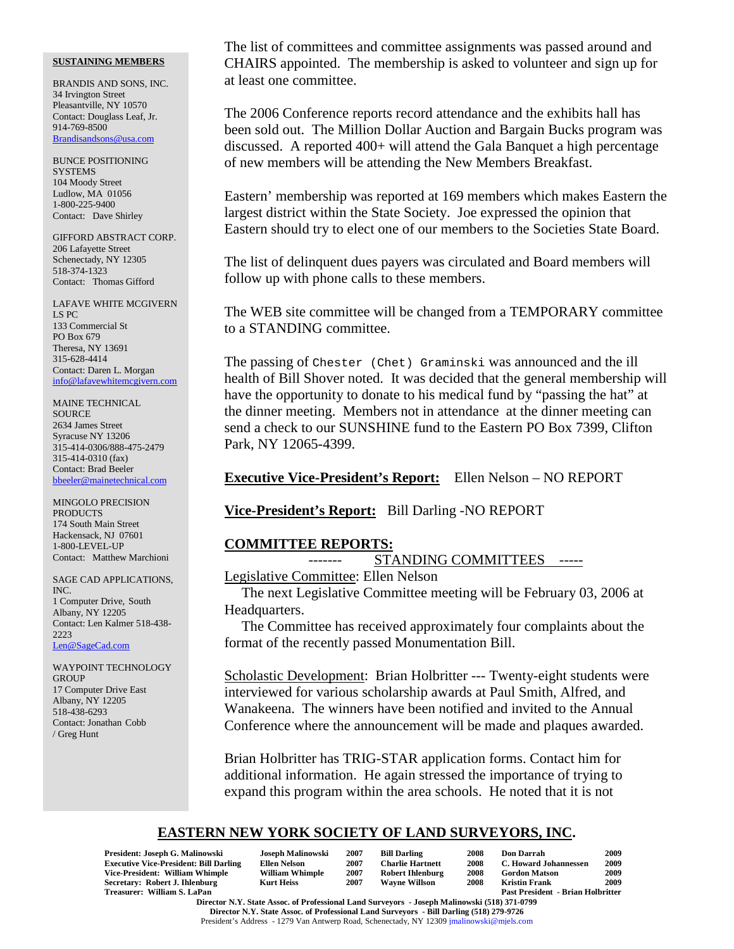BRANDIS AND SONS, INC. 34 Irvington Street Pleasantville, NY 10570 Contact: Douglass Leaf, Jr. 914-769-8500 Brandisandsons@usa.com

BUNCE POSITIONING **SYSTEMS** 104 Moody Street Ludlow, MA 01056 1-800-225-9400 Contact: Dave Shirley

GIFFORD ABSTRACT CORP. 206 Lafayette Street Schenectady, NY 12305 518-374-1323 Contact: Thomas Gifford

LAFAVE WHITE MCGIVERN LS PC 133 Commercial St PO Box 679 Theresa, NY 13691 315-628-4414 Contact: Daren L. Morgan info@lafavewhitemcgivern.com

MAINE TECHNICAL **SOURCE** 2634 James Street Syracuse NY 13206 315-414-0306/888-475-2479 315-414-0310 (fax) Contact: Brad Beeler bbeeler@mainetechnical.com

MINGOLO PRECISION **PRODUCTS** 174 South Main Street Hackensack, NJ 07601 1-800-LEVEL-UP Contact: Matthew Marchioni

SAGE CAD APPLICATIONS, INC. 1 Computer Drive, South Albany, NY 12205 Contact: Len Kalmer 518-438- 2223 Len@SageCad.com

WAYPOINT TECHNOLOGY **GROUP** 17 Computer Drive East Albany, NY 12205 518-438-6293 Contact: Jonathan Cobb / Greg Hunt

The list of committees and committee assignments was passed around and CHAIRS appointed. The membership is asked to volunteer and sign up for at least one committee.

The 2006 Conference reports record attendance and the exhibits hall has been sold out. The Million Dollar Auction and Bargain Bucks program was discussed. A reported 400+ will attend the Gala Banquet a high percentage of new members will be attending the New Members Breakfast.

Eastern' membership was reported at 169 members which makes Eastern the largest district within the State Society. Joe expressed the opinion that Eastern should try to elect one of our members to the Societies State Board.

The list of delinquent dues payers was circulated and Board members will follow up with phone calls to these members.

The WEB site committee will be changed from a TEMPORARY committee to a STANDING committee.

The passing of Chester (Chet) Graminski was announced and the ill health of Bill Shover noted. It was decided that the general membership will have the opportunity to donate to his medical fund by "passing the hat" at the dinner meeting. Members not in attendance at the dinner meeting can send a check to our SUNSHINE fund to the Eastern PO Box 7399, Clifton Park, NY 12065-4399.

# **Executive Vice-President's Report:** Ellen Nelson – NO REPORT

## **Vice-President's Report:** Bill Darling -NO REPORT

## **COMMITTEE REPORTS:**

STANDING COMMITTEES -----

Legislative Committee: Ellen Nelson

The next Legislative Committee meeting will be February 03, 2006 at Headquarters.

The Committee has received approximately four complaints about the format of the recently passed Monumentation Bill.

Scholastic Development: Brian Holbritter --- Twenty-eight students were interviewed for various scholarship awards at Paul Smith, Alfred, and Wanakeena. The winners have been notified and invited to the Annual Conference where the announcement will be made and plaques awarded.

Brian Holbritter has TRIG-STAR application forms. Contact him for additional information. He again stressed the importance of trying to expand this program within the area schools. He noted that it is not

# **EASTERN NEW YORK SOCIETY OF LAND SURVEYORS, INC.**

| President: Joseph G. Malinowski                                  | Joseph Malinowski      | 2007 | <b>Bill Darling</b>     | 2008 | <b>Don Darrah</b>                        | 2009 |  |  |  |
|------------------------------------------------------------------|------------------------|------|-------------------------|------|------------------------------------------|------|--|--|--|
| <b>Executive Vice-President: Bill Darling</b>                    | <b>Ellen Nelson</b>    | 2007 | <b>Charlie Hartnett</b> | 2008 | C. Howard Johannessen                    | 2009 |  |  |  |
| Vice-President: William Whimple                                  | <b>William Whimple</b> | 2007 | <b>Robert Ihlenburg</b> | 2008 | <b>Gordon Matson</b>                     | 2009 |  |  |  |
| Secretary: Robert J. Ihlenburg                                   | Kurt Heiss             | 2007 | <b>Wavne Willson</b>    | 2008 | <b>Kristin Frank</b>                     | 2009 |  |  |  |
| Treasurer: William S. LaPan                                      |                        |      |                         |      | <b>Past President - Brian Holbritter</b> |      |  |  |  |
| <u>ממקמים ובאינו יותר בית הריים היום ויותר בית היום ומונים ו</u> |                        |      |                         |      |                                          |      |  |  |  |

**Director N.Y. State Assoc. of Professional Land Surveyors - Joseph Malinowski (518) 371-0799 Director N.Y. State Assoc. of Professional Land Surveyors - Bill Darling (518) 279-9726** President's Address - 1279 Van Antwerp Road, Schenectady, NY 12309 jmalinowski@mjels.com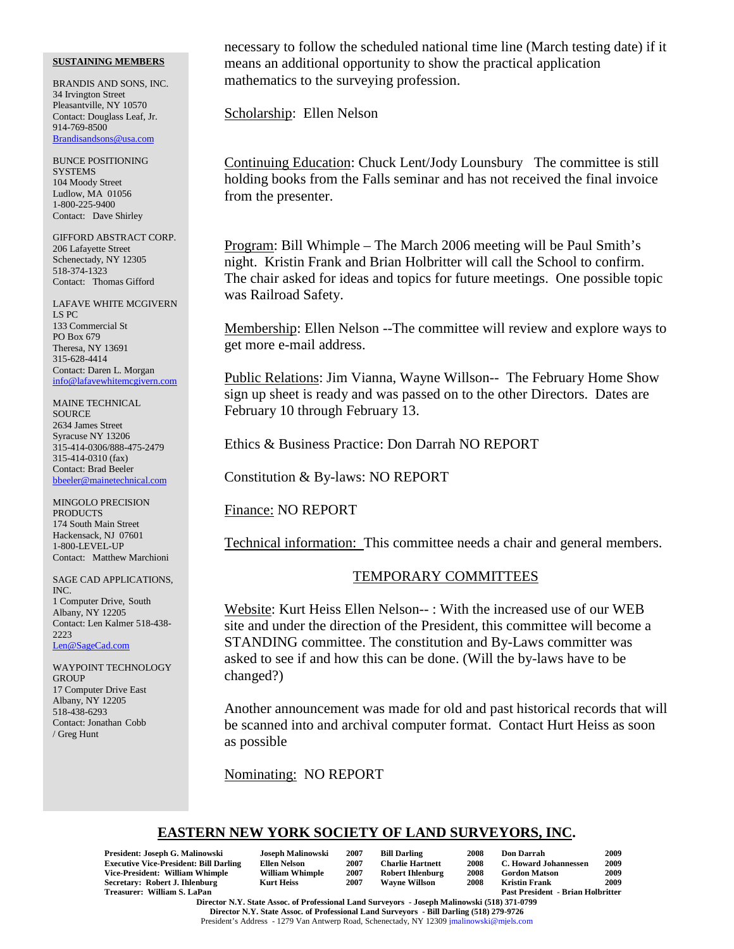BRANDIS AND SONS, INC. 34 Irvington Street Pleasantville, NY 10570 Contact: Douglass Leaf, Jr. 914-769-8500 Brandisandsons@usa.com

BUNCE POSITIONING **SYSTEMS** 104 Moody Street Ludlow, MA 01056 1-800-225-9400 Contact: Dave Shirley

GIFFORD ABSTRACT CORP. 206 Lafayette Street Schenectady, NY 12305 518-374-1323 Contact: Thomas Gifford

LAFAVE WHITE MCGIVERN LS PC 133 Commercial St PO Box 679 Theresa, NY 13691 315-628-4414 Contact: Daren L. Morgan info@lafavewhitemcgivern.com

MAINE TECHNICAL **SOURCE** 2634 James Street Syracuse NY 13206 315-414-0306/888-475-2479 315-414-0310 (fax) Contact: Brad Beeler bbeeler@mainetechnical.com

MINGOLO PRECISION **PRODUCTS** 174 South Main Street Hackensack, NJ 07601 1-800-LEVEL-UP Contact: Matthew Marchioni

SAGE CAD APPLICATIONS, INC. 1 Computer Drive, South Albany, NY 12205 Contact: Len Kalmer 518-438- 2223 Len@SageCad.com

WAYPOINT TECHNOLOGY **GROUP** 17 Computer Drive East Albany, NY 12205 518-438-6293 Contact: Jonathan Cobb / Greg Hunt

necessary to follow the scheduled national time line (March testing date) if it means an additional opportunity to show the practical application mathematics to the surveying profession.

Scholarship: Ellen Nelson

Continuing Education: Chuck Lent/Jody Lounsbury The committee is still holding books from the Falls seminar and has not received the final invoice from the presenter.

Program: Bill Whimple – The March 2006 meeting will be Paul Smith's night. Kristin Frank and Brian Holbritter will call the School to confirm. The chair asked for ideas and topics for future meetings. One possible topic was Railroad Safety.

Membership: Ellen Nelson --The committee will review and explore ways to get more e-mail address.

Public Relations: Jim Vianna, Wayne Willson-- The February Home Show sign up sheet is ready and was passed on to the other Directors. Dates are February 10 through February 13.

Ethics & Business Practice: Don Darrah NO REPORT

Constitution & By-laws: NO REPORT

Finance: NO REPORT

Technical information: This committee needs a chair and general members.

### TEMPORARY COMMITTEES

Website: Kurt Heiss Ellen Nelson-- : With the increased use of our WEB site and under the direction of the President, this committee will become a STANDING committee. The constitution and By-Laws committer was asked to see if and how this can be done. (Will the by-laws have to be changed?)

Another announcement was made for old and past historical records that will be scanned into and archival computer format. Contact Hurt Heiss as soon as possible

Nominating: NO REPORT

# **EASTERN NEW YORK SOCIETY OF LAND SURVEYORS, INC.**

| President: Joseph G. Malinowski<br><b>Executive Vice-President: Bill Darling</b><br>Vice-President: William Whimple<br>Secretary: Robert J. Ihlenburg<br>Treasurer: William S. LaPan | Joseph Malinowski<br>Ellen Nelson<br><b>William Whimple</b><br><b>Kurt Heiss</b> | 2007<br>2007<br>2007<br>2007 | <b>Bill Darling</b><br><b>Charlie Hartnett</b><br><b>Robert Ihlenburg</b><br><b>Wavne Willson</b> | 2008<br>2008<br>2008<br>2008 | Don Darrah<br><b>C. Howard Johannessen</b><br><b>Gordon Matson</b><br><b>Kristin Frank</b><br><b>Past President - Brian Holbritter</b> | 2009<br>2009<br>2009<br>2009 |
|--------------------------------------------------------------------------------------------------------------------------------------------------------------------------------------|----------------------------------------------------------------------------------|------------------------------|---------------------------------------------------------------------------------------------------|------------------------------|----------------------------------------------------------------------------------------------------------------------------------------|------------------------------|
|                                                                                                                                                                                      |                                                                                  |                              |                                                                                                   |                              |                                                                                                                                        |                              |

**Director N.Y. State Assoc. of Professional Land Surveyors - Joseph Malinowski (518) 371-0799 Director N.Y. State Assoc. of Professional Land Surveyors - Bill Darling (518) 279-9726** President's Address - 1279 Van Antwerp Road, Schenectady, NY 12309 jmalinowski@mjels.com